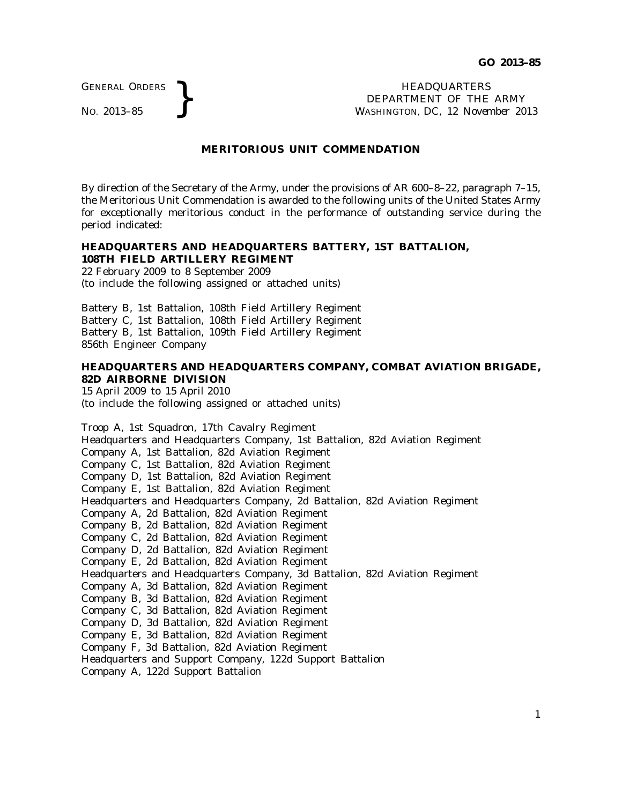GENERAL ORDERS

GENERAL ORDERS **}**<br>No. 2013–85 **}**<br>No. 2013–85 **}**<br>Repartment of the WASHINGTON, DC, 12 Nover. DEPARTMENT OF THE ARMY WASHINGTON, DC, *12 November 2013*

#### **MERITORIOUS UNIT COMMENDATION**

By direction of the Secretary of the Army, under the provisions of AR 600–8–22, paragraph 7–15, the Meritorious Unit Commendation is awarded to the following units of the United States Army for exceptionally meritorious conduct in the performance of outstanding service during the period indicated:

#### **HEADQUARTERS AND HEADQUARTERS BATTERY, 1ST BATTALION, 108TH FIELD ARTILLERY REGIMENT**

22 February 2009 to 8 September 2009 (to include the following assigned or attached units)

Battery B, 1st Battalion, 108th Field Artillery Regiment Battery C, 1st Battalion, 108th Field Artillery Regiment Battery B, 1st Battalion, 109th Field Artillery Regiment 856th Engineer Company

## **HEADQUARTERS AND HEADQUARTERS COMPANY, COMBAT AVIATION BRIGADE, 82D AIRBORNE DIVISION**

15 April 2009 to 15 April 2010 (to include the following assigned or attached units)

Troop A, 1st Squadron, 17th Cavalry Regiment Headquarters and Headquarters Company, 1st Battalion, 82d Aviation Regiment Company A, 1st Battalion, 82d Aviation Regiment Company C, 1st Battalion, 82d Aviation Regiment Company D, 1st Battalion, 82d Aviation Regiment Company E, 1st Battalion, 82d Aviation Regiment Headquarters and Headquarters Company, 2d Battalion, 82d Aviation Regiment Company A, 2d Battalion, 82d Aviation Regiment Company B, 2d Battalion, 82d Aviation Regiment Company C, 2d Battalion, 82d Aviation Regiment Company D, 2d Battalion, 82d Aviation Regiment Company E, 2d Battalion, 82d Aviation Regiment Headquarters and Headquarters Company, 3d Battalion, 82d Aviation Regiment Company A, 3d Battalion, 82d Aviation Regiment Company B, 3d Battalion, 82d Aviation Regiment Company C, 3d Battalion, 82d Aviation Regiment Company D, 3d Battalion, 82d Aviation Regiment Company E, 3d Battalion, 82d Aviation Regiment Company F, 3d Battalion, 82d Aviation Regiment Headquarters and Support Company, 122d Support Battalion Company A, 122d Support Battalion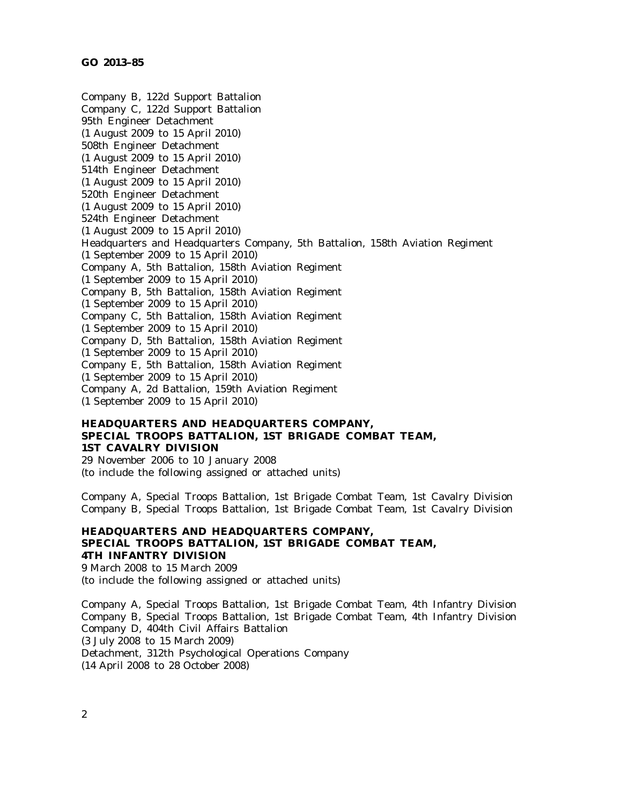Company B, 122d Support Battalion Company C, 122d Support Battalion 95th Engineer Detachment (1 August 2009 to 15 April 2010) 508th Engineer Detachment (1 August 2009 to 15 April 2010) 514th Engineer Detachment (1 August 2009 to 15 April 2010) 520th Engineer Detachment (1 August 2009 to 15 April 2010) 524th Engineer Detachment (1 August 2009 to 15 April 2010) Headquarters and Headquarters Company, 5th Battalion, 158th Aviation Regiment (1 September 2009 to 15 April 2010) Company A, 5th Battalion, 158th Aviation Regiment (1 September 2009 to 15 April 2010) Company B, 5th Battalion, 158th Aviation Regiment (1 September 2009 to 15 April 2010) Company C, 5th Battalion, 158th Aviation Regiment (1 September 2009 to 15 April 2010) Company D, 5th Battalion, 158th Aviation Regiment (1 September 2009 to 15 April 2010) Company E, 5th Battalion, 158th Aviation Regiment (1 September 2009 to 15 April 2010) Company A, 2d Battalion, 159th Aviation Regiment (1 September 2009 to 15 April 2010)

# **HEADQUARTERS AND HEADQUARTERS COMPANY, SPECIAL TROOPS BATTALION, 1ST BRIGADE COMBAT TEAM, 1ST CAVALRY DIVISION**

29 November 2006 to 10 January 2008 (to include the following assigned or attached units)

Company A, Special Troops Battalion, 1st Brigade Combat Team, 1st Cavalry Division Company B, Special Troops Battalion, 1st Brigade Combat Team, 1st Cavalry Division

### **HEADQUARTERS AND HEADQUARTERS COMPANY, SPECIAL TROOPS BATTALION, 1ST BRIGADE COMBAT TEAM, 4TH INFANTRY DIVISION**

9 March 2008 to 15 March 2009

(to include the following assigned or attached units)

Company A, Special Troops Battalion, 1st Brigade Combat Team, 4th Infantry Division Company B, Special Troops Battalion, 1st Brigade Combat Team, 4th Infantry Division Company D, 404th Civil Affairs Battalion (3 July 2008 to 15 March 2009) Detachment, 312th Psychological Operations Company (14 April 2008 to 28 October 2008)